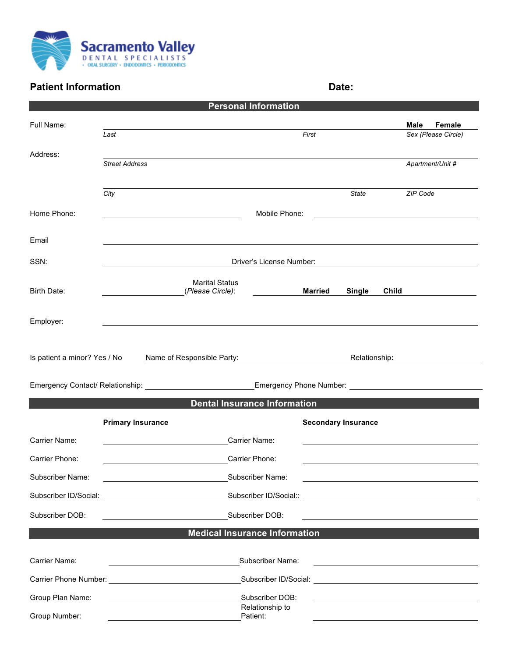

**Patient Information Date:** 

|                              |                          | <b>Personal Information</b>                                                                                                                                                       |                |                            |                                                                    |                     |  |  |
|------------------------------|--------------------------|-----------------------------------------------------------------------------------------------------------------------------------------------------------------------------------|----------------|----------------------------|--------------------------------------------------------------------|---------------------|--|--|
| Full Name:                   |                          |                                                                                                                                                                                   |                |                            |                                                                    | Female<br>Male      |  |  |
|                              | Last                     |                                                                                                                                                                                   | First          |                            |                                                                    | Sex (Please Circle) |  |  |
| Address:                     |                          |                                                                                                                                                                                   |                |                            |                                                                    |                     |  |  |
|                              | <b>Street Address</b>    |                                                                                                                                                                                   |                |                            | Apartment/Unit #                                                   |                     |  |  |
|                              | City                     |                                                                                                                                                                                   |                | <b>State</b>               | ZIP Code                                                           |                     |  |  |
| Home Phone:                  |                          | Mobile Phone:                                                                                                                                                                     |                |                            |                                                                    |                     |  |  |
| Email                        |                          |                                                                                                                                                                                   |                |                            |                                                                    |                     |  |  |
| SSN:                         | Driver's License Number: |                                                                                                                                                                                   |                |                            |                                                                    |                     |  |  |
| Birth Date:                  |                          | <b>Marital Status</b><br>(Please Circle):                                                                                                                                         | <b>Married</b> | <b>Single</b>              | <b>Child</b>                                                       |                     |  |  |
| Employer:                    |                          |                                                                                                                                                                                   |                |                            |                                                                    |                     |  |  |
| Is patient a minor? Yes / No |                          | Name of Responsible Party:<br>the control of the control of the<br>Emergency Contact/ Relationship: _________________________________Emergency Phone Number: ____________________ |                | Relationship:              |                                                                    |                     |  |  |
|                              |                          | <b>Dental Insurance Information</b>                                                                                                                                               |                |                            |                                                                    |                     |  |  |
|                              | <b>Primary Insurance</b> |                                                                                                                                                                                   |                | <b>Secondary Insurance</b> |                                                                    |                     |  |  |
| Carrier Name:                |                          | Carrier Name:                                                                                                                                                                     |                |                            |                                                                    |                     |  |  |
| Carrier Phone:               |                          | Carrier Phone:                                                                                                                                                                    |                |                            |                                                                    |                     |  |  |
| Subscriber Name:             |                          | Subscriber Name:                                                                                                                                                                  |                |                            | <u> 1980 - Johann Stoff, fransk politik (d. 1980)</u>              |                     |  |  |
| Subscriber ID/Social:        |                          | Subscriber ID/Social::                                                                                                                                                            |                |                            | <u> 1980 - Andrea Station Barbara, amerikan personal (h. 1980)</u> |                     |  |  |
| Subscriber DOB:              |                          | Subscriber DOB:                                                                                                                                                                   |                |                            | <u> 1989 - Johann Stoff, Amerikaansk politiker (* 1908)</u>        |                     |  |  |
|                              |                          | <b>Medical Insurance Information</b>                                                                                                                                              |                |                            |                                                                    |                     |  |  |
| Carrier Name:                |                          | Subscriber Name:                                                                                                                                                                  |                |                            |                                                                    |                     |  |  |
| Carrier Phone Number:        |                          | Subscriber ID/Social:                                                                                                                                                             |                |                            | <u> 1989 - Johann Barnett, fransk politik (d. 1989)</u>            |                     |  |  |
| Group Plan Name:             |                          | Subscriber DOB:                                                                                                                                                                   |                |                            |                                                                    |                     |  |  |
| Group Number:                |                          | Relationship to<br>Patient:                                                                                                                                                       |                |                            |                                                                    |                     |  |  |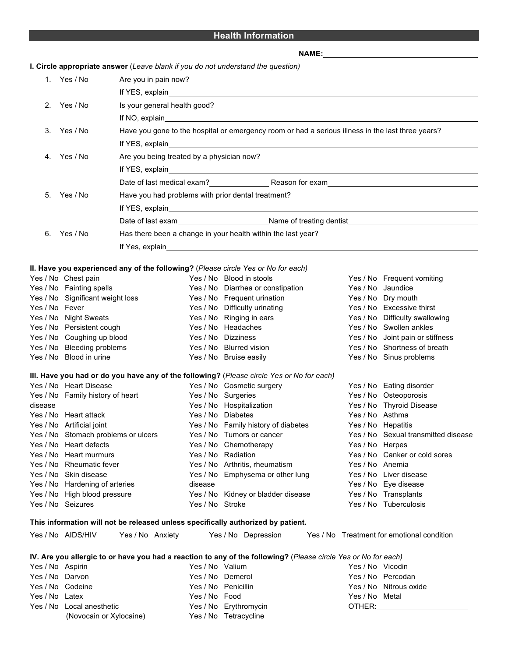## **Health Information**

|                  |                                                       | <b>NAME:</b><br><u> 1989 - Jan Samuel Barbara, martin d</u>                                                                                                                                                                    |  |                                               |                                                                                                                |  |                                                                  |                                               |  |
|------------------|-------------------------------------------------------|--------------------------------------------------------------------------------------------------------------------------------------------------------------------------------------------------------------------------------|--|-----------------------------------------------|----------------------------------------------------------------------------------------------------------------|--|------------------------------------------------------------------|-----------------------------------------------|--|
|                  |                                                       |                                                                                                                                                                                                                                |  |                                               | I. Circle appropriate answer (Leave blank if you do not understand the question)                               |  |                                                                  |                                               |  |
|                  | 1. Yes / No                                           | Are you in pain now?                                                                                                                                                                                                           |  |                                               |                                                                                                                |  |                                                                  |                                               |  |
|                  |                                                       | If YES, explain and the state of the state of the state of the state of the state of the state of the state of the state of the state of the state of the state of the state of the state of the state of the state of the sta |  |                                               |                                                                                                                |  |                                                                  |                                               |  |
|                  | 2. Yes / No                                           | Is your general health good?                                                                                                                                                                                                   |  |                                               |                                                                                                                |  |                                                                  |                                               |  |
|                  |                                                       |                                                                                                                                                                                                                                |  |                                               |                                                                                                                |  |                                                                  |                                               |  |
|                  | 3. Yes / No                                           |                                                                                                                                                                                                                                |  |                                               |                                                                                                                |  |                                                                  |                                               |  |
|                  |                                                       | Have you gone to the hospital or emergency room or had a serious illness in the last three years?                                                                                                                              |  |                                               |                                                                                                                |  |                                                                  |                                               |  |
|                  |                                                       |                                                                                                                                                                                                                                |  |                                               |                                                                                                                |  |                                                                  |                                               |  |
|                  | 4. Yes / No                                           | Are you being treated by a physician now?                                                                                                                                                                                      |  |                                               |                                                                                                                |  |                                                                  |                                               |  |
|                  |                                                       |                                                                                                                                                                                                                                |  |                                               |                                                                                                                |  |                                                                  |                                               |  |
|                  |                                                       |                                                                                                                                                                                                                                |  |                                               |                                                                                                                |  |                                                                  |                                               |  |
|                  | 5. Yes / No                                           | Have you had problems with prior dental treatment?                                                                                                                                                                             |  |                                               |                                                                                                                |  |                                                                  |                                               |  |
|                  |                                                       |                                                                                                                                                                                                                                |  |                                               |                                                                                                                |  |                                                                  |                                               |  |
|                  |                                                       |                                                                                                                                                                                                                                |  |                                               |                                                                                                                |  |                                                                  |                                               |  |
|                  | 6. Yes/No                                             | Has there been a change in your health within the last year?                                                                                                                                                                   |  |                                               |                                                                                                                |  |                                                                  |                                               |  |
|                  |                                                       |                                                                                                                                                                                                                                |  |                                               |                                                                                                                |  |                                                                  |                                               |  |
|                  |                                                       |                                                                                                                                                                                                                                |  |                                               |                                                                                                                |  |                                                                  |                                               |  |
|                  |                                                       |                                                                                                                                                                                                                                |  |                                               | II. Have you experienced any of the following? (Please circle Yes or No for each)                              |  |                                                                  |                                               |  |
|                  | Yes / No Chest pain                                   |                                                                                                                                                                                                                                |  |                                               | Yes / No Blood in stools                                                                                       |  |                                                                  | Yes / No Frequent vomiting                    |  |
|                  | Yes / No Fainting spells                              |                                                                                                                                                                                                                                |  |                                               | Yes / No Diarrhea or constipation                                                                              |  |                                                                  | Yes / No Jaundice                             |  |
|                  | Yes / No Significant weight loss                      |                                                                                                                                                                                                                                |  | Yes / No Frequent urination                   |                                                                                                                |  | Yes / No Dry mouth                                               |                                               |  |
|                  | Yes / No Fever                                        |                                                                                                                                                                                                                                |  | Yes / No Difficulty urinating                 |                                                                                                                |  | Yes / No Excessive thirst                                        |                                               |  |
|                  | Yes / No Night Sweats                                 |                                                                                                                                                                                                                                |  | Yes / No Ringing in ears                      |                                                                                                                |  | Yes / No Difficulty swallowing                                   |                                               |  |
|                  | Yes / No Persistent cough                             |                                                                                                                                                                                                                                |  | Yes / No Headaches                            |                                                                                                                |  | Yes / No Swollen ankles                                          |                                               |  |
|                  | Yes / No Coughing up blood                            |                                                                                                                                                                                                                                |  | Yes / No Dizziness<br>Yes / No Blurred vision |                                                                                                                |  | Yes / No Joint pain or stiffness<br>Yes / No Shortness of breath |                                               |  |
|                  | Yes / No Bleeding problems<br>Yes / No Blood in urine |                                                                                                                                                                                                                                |  | Yes / No Bruise easily                        |                                                                                                                |  | Yes / No Sinus problems                                          |                                               |  |
|                  |                                                       |                                                                                                                                                                                                                                |  |                                               |                                                                                                                |  |                                                                  |                                               |  |
|                  |                                                       |                                                                                                                                                                                                                                |  |                                               | III. Have you had or do you have any of the following? (Please circle Yes or No for each)                      |  |                                                                  |                                               |  |
|                  | Yes / No Heart Disease                                |                                                                                                                                                                                                                                |  |                                               | Yes / No Cosmetic surgery                                                                                      |  |                                                                  | Yes / No Eating disorder                      |  |
|                  | Yes / No Family history of heart                      |                                                                                                                                                                                                                                |  |                                               | Yes / No Surgeries                                                                                             |  |                                                                  | Yes / No Osteoporosis                         |  |
| disease          |                                                       |                                                                                                                                                                                                                                |  |                                               | Yes / No Hospitalization                                                                                       |  |                                                                  | Yes / No Thyroid Disease                      |  |
|                  | Yes / No Heart attack                                 |                                                                                                                                                                                                                                |  |                                               | Yes / No Diabetes                                                                                              |  | Yes / No Asthma                                                  |                                               |  |
|                  | Yes / No Artificial joint                             |                                                                                                                                                                                                                                |  |                                               | Yes / No Family history of diabetes                                                                            |  |                                                                  | Yes / No Hepatitis                            |  |
|                  | Yes / No Stomach problems or ulcers                   |                                                                                                                                                                                                                                |  |                                               | Yes / No Tumors or cancer                                                                                      |  |                                                                  | Yes / No Sexual transmitted disease           |  |
|                  | Yes / No Heart defects                                |                                                                                                                                                                                                                                |  |                                               | Yes / No Chemotherapy                                                                                          |  | Yes / No Herpes                                                  |                                               |  |
|                  | Yes / No Heart murmurs                                |                                                                                                                                                                                                                                |  |                                               | Yes / No Radiation                                                                                             |  |                                                                  | Yes / No Canker or cold sores                 |  |
|                  | Yes / No Rheumatic fever                              |                                                                                                                                                                                                                                |  |                                               | Yes / No Arthritis, rheumatism                                                                                 |  | Yes / No Anemia                                                  |                                               |  |
|                  | Yes / No Skin disease                                 |                                                                                                                                                                                                                                |  |                                               | Yes / No Emphysema or other lung                                                                               |  |                                                                  | Yes / No Liver disease                        |  |
|                  | Yes / No Hardening of arteries                        |                                                                                                                                                                                                                                |  | disease                                       |                                                                                                                |  |                                                                  | Yes / No Eye disease                          |  |
|                  | Yes / No High blood pressure                          |                                                                                                                                                                                                                                |  | Yes / No Stroke                               | Yes / No Kidney or bladder disease                                                                             |  |                                                                  | Yes / No Transplants<br>Yes / No Tuberculosis |  |
|                  | Yes / No Seizures                                     |                                                                                                                                                                                                                                |  |                                               |                                                                                                                |  |                                                                  |                                               |  |
|                  |                                                       |                                                                                                                                                                                                                                |  |                                               | This information will not be released unless specifically authorized by patient.                               |  |                                                                  |                                               |  |
|                  | Yes / No AIDS/HIV                                     | Yes / No Anxiety                                                                                                                                                                                                               |  |                                               | Yes / No Depression                                                                                            |  |                                                                  | Yes / No Treatment for emotional condition    |  |
|                  |                                                       |                                                                                                                                                                                                                                |  |                                               | IV. Are you allergic to or have you had a reaction to any of the following? (Please circle Yes or No for each) |  |                                                                  |                                               |  |
| Yes / No Aspirin |                                                       |                                                                                                                                                                                                                                |  | Yes / No Valium                               |                                                                                                                |  | Yes / No Vicodin                                                 |                                               |  |
|                  | Yes / No Darvon                                       |                                                                                                                                                                                                                                |  | Yes / No Demerol                              |                                                                                                                |  |                                                                  | Yes / No Percodan                             |  |
|                  | Yes / No Codeine                                      |                                                                                                                                                                                                                                |  |                                               | Yes / No Penicillin                                                                                            |  |                                                                  | Yes / No Nitrous oxide                        |  |
| Yes / No Latex   |                                                       |                                                                                                                                                                                                                                |  | Yes/No Food                                   |                                                                                                                |  | Yes / No Metal                                                   |                                               |  |
|                  | Yes / No Local anesthetic                             |                                                                                                                                                                                                                                |  |                                               | Yes / No Erythromycin                                                                                          |  | OTHER:                                                           |                                               |  |

Yes / No Tetracycline

(Novocain or Xylocaine)